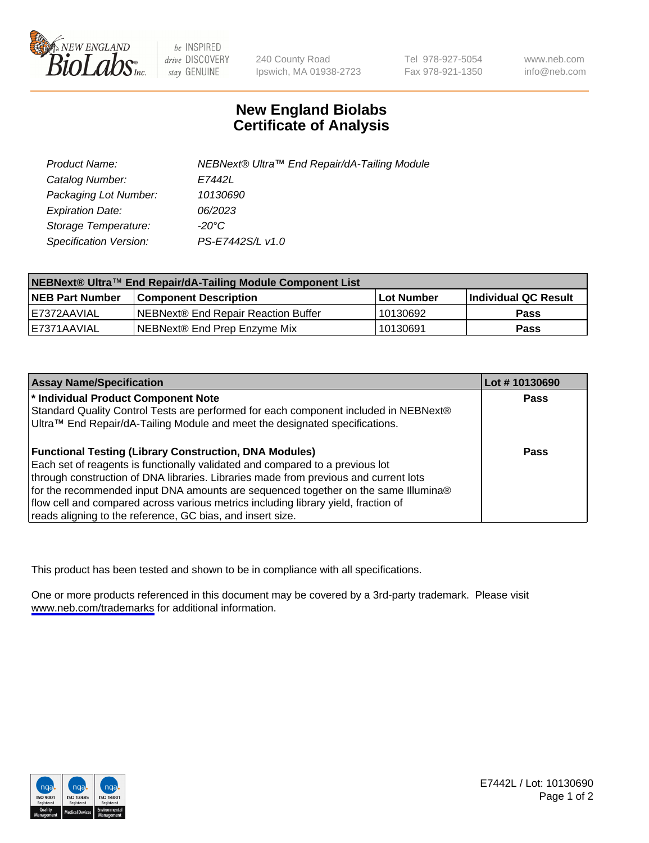

be INSPIRED drive DISCOVERY stay GENUINE

240 County Road Ipswich, MA 01938-2723 Tel 978-927-5054 Fax 978-921-1350

www.neb.com info@neb.com

## **New England Biolabs Certificate of Analysis**

| Product Name:           | NEBNext® Ultra™ End Repair/dA-Tailing Module |
|-------------------------|----------------------------------------------|
| Catalog Number:         | E7442L                                       |
| Packaging Lot Number:   | 10130690                                     |
| <b>Expiration Date:</b> | 06/2023                                      |
| Storage Temperature:    | -20°C                                        |
| Specification Version:  | PS-E7442S/L v1.0                             |

| NEBNext® Ultra™ End Repair/dA-Tailing Module Component List |                                      |                   |                       |  |
|-------------------------------------------------------------|--------------------------------------|-------------------|-----------------------|--|
| <b>NEB Part Number</b>                                      | <b>Component Description</b>         | <b>Lot Number</b> | ∣Individual QC Result |  |
| E7372AAVIAL                                                 | INEBNext® End Repair Reaction Buffer | 10130692          | <b>Pass</b>           |  |
| I E7371AAVIAL                                               | NEBNext® End Prep Enzyme Mix         | 10130691          | <b>Pass</b>           |  |

| <b>Assay Name/Specification</b>                                                      | Lot #10130690 |
|--------------------------------------------------------------------------------------|---------------|
| * Individual Product Component Note                                                  | <b>Pass</b>   |
| Standard Quality Control Tests are performed for each component included in NEBNext® |               |
| Ultra™ End Repair/dA-Tailing Module and meet the designated specifications.          |               |
| <b>Functional Testing (Library Construction, DNA Modules)</b>                        | Pass          |
| Each set of reagents is functionally validated and compared to a previous lot        |               |
| through construction of DNA libraries. Libraries made from previous and current lots |               |
| for the recommended input DNA amounts are sequenced together on the same Illumina®   |               |
| flow cell and compared across various metrics including library yield, fraction of   |               |
| reads aligning to the reference, GC bias, and insert size.                           |               |

This product has been tested and shown to be in compliance with all specifications.

One or more products referenced in this document may be covered by a 3rd-party trademark. Please visit <www.neb.com/trademarks>for additional information.